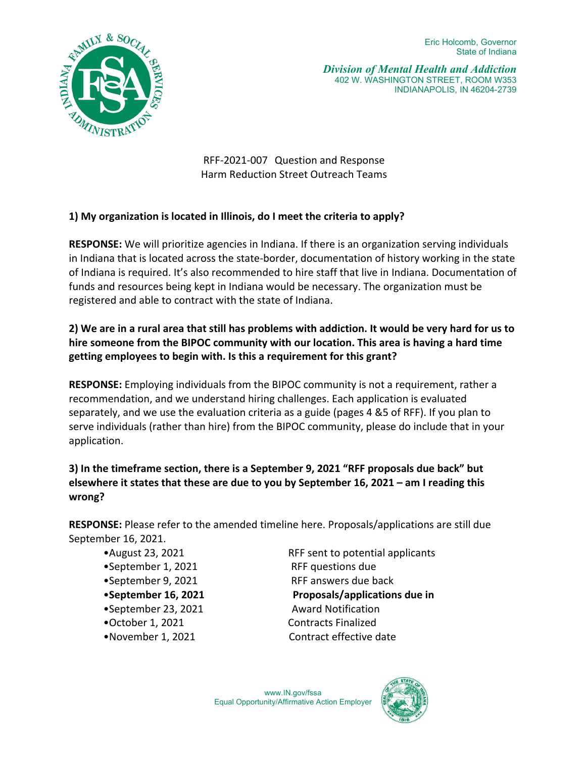

*Division of Mental Health and Addiction*  402 W. WASHINGTON STREET, ROOM W353 INDIANAPOLIS, IN 46204-2739

RFF-2021-007 Question and Response Harm Reduction Street Outreach Teams

# **1) My organization is located in Illinois, do I meet the criteria to apply?**

**RESPONSE:** We will prioritize agencies in Indiana. If there is an organization serving individuals in Indiana that is located across the state-border, documentation of history working in the state of Indiana is required. It's also recommended to hire staff that live in Indiana. Documentation of funds and resources being kept in Indiana would be necessary. The organization must be registered and able to contract with the state of Indiana.

# **2) We are in a rural area that still has problems with addiction. It would be very hard for us to hire someone from the BIPOC community with our location. This area is having a hard time getting employees to begin with. Is this a requirement for this grant?**

**RESPONSE:** Employing individuals from the BIPOC community is not a requirement, rather a recommendation, and we understand hiring challenges. Each application is evaluated separately, and we use the evaluation criteria as a guide (pages 4 &5 of RFF). If you plan to serve individuals (rather than hire) from the BIPOC community, please do include that in your application.

# **3) In the timeframe section, there is a September 9, 2021 "RFF proposals due back" but elsewhere it states that these are due to you by September 16, 2021 – am I reading this wrong?**

**RESPONSE:** Please refer to the amended timeline here. Proposals/applications are still due September 16, 2021.

- 
- •September 1, 2021 RFF questions due
- 
- 
- •September 23, 2021 Award Notification
- 
- 

•August 23, 2021 RFF sent to potential applicants •September 9, 2021 RFF answers due back •**September 16, 2021 Proposals/applications due in** •October 1, 2021 Contracts Finalized •November 1, 2021 Contract effective date

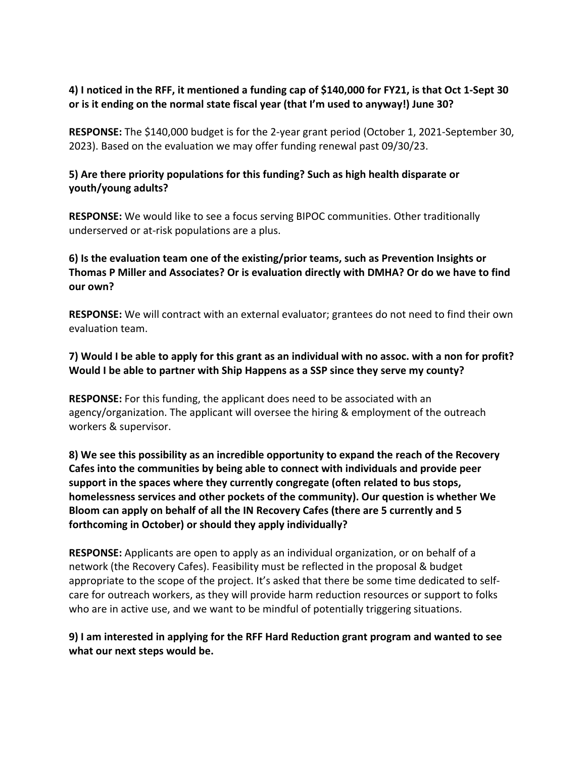## **4) I noticed in the RFF, it mentioned a funding cap of \$140,000 for FY21, is that Oct 1-Sept 30 or is it ending on the normal state fiscal year (that I'm used to anyway!) June 30?**

**RESPONSE:** The \$140,000 budget is for the 2-year grant period (October 1, 2021-September 30, 2023). Based on the evaluation we may offer funding renewal past 09/30/23.

## **5) Are there priority populations for this funding? Such as high health disparate or youth/young adults?**

**RESPONSE:** We would like to see a focus serving BIPOC communities. Other traditionally underserved or at-risk populations are a plus.

# **6) Is the evaluation team one of the existing/prior teams, such as Prevention Insights or Thomas P Miller and Associates? Or is evaluation directly with DMHA? Or do we have to find our own?**

**RESPONSE:** We will contract with an external evaluator; grantees do not need to find their own evaluation team.

# **7) Would I be able to apply for this grant as an individual with no assoc. with a non for profit? Would I be able to partner with Ship Happens as a SSP since they serve my county?**

**RESPONSE:** For this funding, the applicant does need to be associated with an agency/organization. The applicant will oversee the hiring & employment of the outreach workers & supervisor.

**8) We see this possibility as an incredible opportunity to expand the reach of the Recovery Cafes into the communities by being able to connect with individuals and provide peer support in the spaces where they currently congregate (often related to bus stops, homelessness services and other pockets of the community). Our question is whether We Bloom can apply on behalf of all the IN Recovery Cafes (there are 5 currently and 5 forthcoming in October) or should they apply individually?**

**RESPONSE:** Applicants are open to apply as an individual organization, or on behalf of a network (the Recovery Cafes). Feasibility must be reflected in the proposal & budget appropriate to the scope of the project. It's asked that there be some time dedicated to selfcare for outreach workers, as they will provide harm reduction resources or support to folks who are in active use, and we want to be mindful of potentially triggering situations.

# **9) I am interested in applying for the RFF Hard Reduction grant program and wanted to see what our next steps would be.**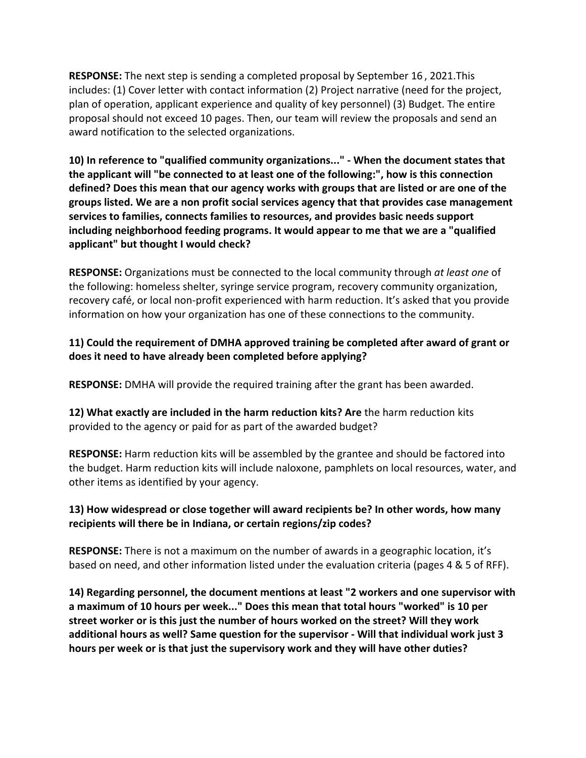**RESPONSE:** The next step is sending a completed proposal by September 16 , 2021.This includes: (1) Cover letter with contact information (2) Project narrative (need for the project, plan of operation, applicant experience and quality of key personnel) (3) Budget. The entire proposal should not exceed 10 pages. Then, our team will review the proposals and send an award notification to the selected organizations.

**10) In reference to "qualified community organizations..." - When the document states that the applicant will "be connected to at least one of the following:", how is this connection defined? Does this mean that our agency works with groups that are listed or are one of the groups listed. We are a non profit social services agency that that provides case management services to families, connects families to resources, and provides basic needs support including neighborhood feeding programs. It would appear to me that we are a "qualified applicant" but thought I would check?**

**RESPONSE:** Organizations must be connected to the local community through *at least one* of the following: homeless shelter, syringe service program, recovery community organization, recovery café, or local non-profit experienced with harm reduction. It's asked that you provide information on how your organization has one of these connections to the community.

# **11) Could the requirement of DMHA approved training be completed after award of grant or does it need to have already been completed before applying?**

**RESPONSE:** DMHA will provide the required training after the grant has been awarded.

**12) What exactly are included in the harm reduction kits? Are** the harm reduction kits provided to the agency or paid for as part of the awarded budget?

**RESPONSE:** Harm reduction kits will be assembled by the grantee and should be factored into the budget. Harm reduction kits will include naloxone, pamphlets on local resources, water, and other items as identified by your agency.

## **13) How widespread or close together will award recipients be? In other words, how many recipients will there be in Indiana, or certain regions/zip codes?**

**RESPONSE:** There is not a maximum on the number of awards in a geographic location, it's based on need, and other information listed under the evaluation criteria (pages 4 & 5 of RFF).

**14) Regarding personnel, the document mentions at least "2 workers and one supervisor with a maximum of 10 hours per week..." Does this mean that total hours "worked" is 10 per street worker or is this just the number of hours worked on the street? Will they work additional hours as well? Same question for the supervisor - Will that individual work just 3 hours per week or is that just the supervisory work and they will have other duties?**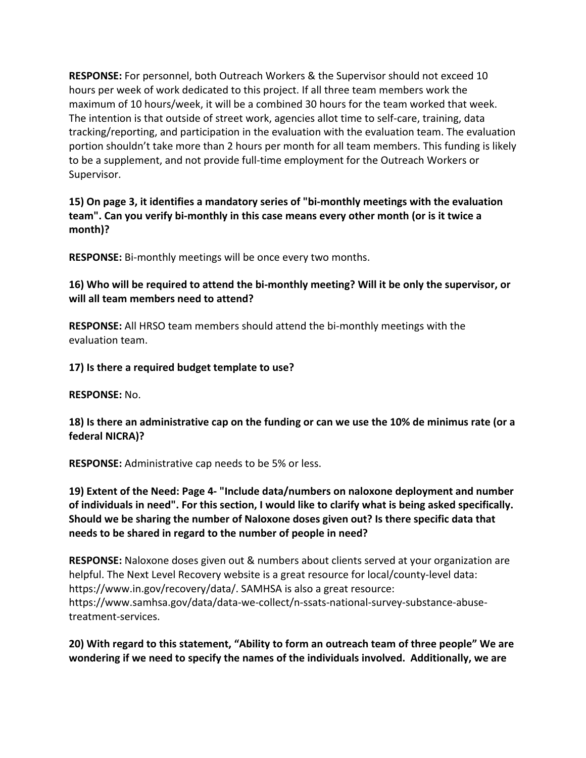**RESPONSE:** For personnel, both Outreach Workers & the Supervisor should not exceed 10 hours per week of work dedicated to this project. If all three team members work the maximum of 10 hours/week, it will be a combined 30 hours for the team worked that week. The intention is that outside of street work, agencies allot time to self-care, training, data tracking/reporting, and participation in the evaluation with the evaluation team. The evaluation portion shouldn't take more than 2 hours per month for all team members. This funding is likely to be a supplement, and not provide full-time employment for the Outreach Workers or Supervisor.

**15) On page 3, it identifies a mandatory series of "bi-monthly meetings with the evaluation team". Can you verify bi-monthly in this case means every other month (or is it twice a month)?**

**RESPONSE:** Bi-monthly meetings will be once every two months.

**16) Who will be required to attend the bi-monthly meeting? Will it be only the supervisor, or will all team members need to attend?**

**RESPONSE:** All HRSO team members should attend the bi-monthly meetings with the evaluation team.

**17) Is there a required budget template to use?**

**RESPONSE:** No.

## **18) Is there an administrative cap on the funding or can we use the 10% de minimus rate (or a federal NICRA)?**

**RESPONSE:** Administrative cap needs to be 5% or less.

**19) Extent of the Need: Page 4- "Include data/numbers on naloxone deployment and number of individuals in need". For this section, I would like to clarify what is being asked specifically. Should we be sharing the number of Naloxone doses given out? Is there specific data that needs to be shared in regard to the number of people in need?**

**RESPONSE:** Naloxone doses given out & numbers about clients served at your organization are helpful. The Next Level Recovery website is a great resource for local/county-level data: https://www.in.gov/recovery/data/. SAMHSA is also a great resource: https://www.samhsa.gov/data/data-we-collect/n-ssats-national-survey-substance-abusetreatment-services.

## **20) With regard to this statement, "Ability to form an outreach team of three people" We are wondering if we need to specify the names of the individuals involved. Additionally, we are**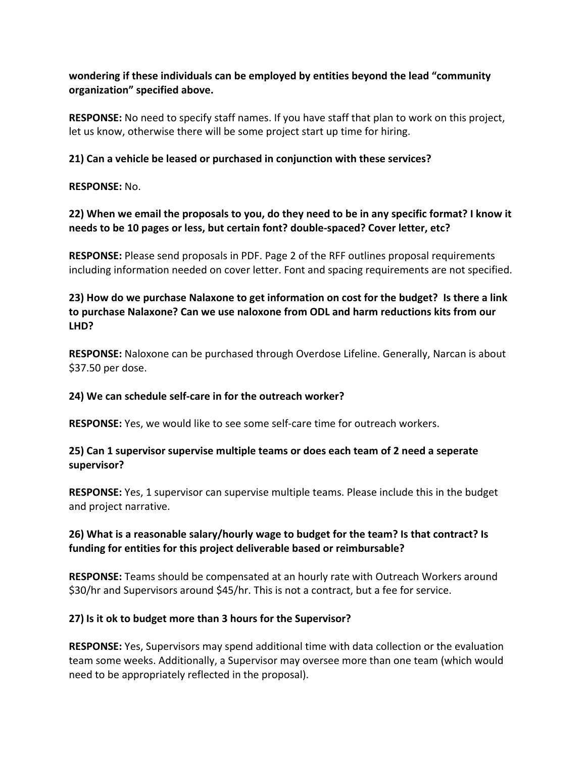## **wondering if these individuals can be employed by entities beyond the lead "community organization" specified above.**

**RESPONSE:** No need to specify staff names. If you have staff that plan to work on this project, let us know, otherwise there will be some project start up time for hiring.

## **21) Can a vehicle be leased or purchased in conjunction with these services?**

**RESPONSE:** No.

# **22) When we email the proposals to you, do they need to be in any specific format? I know it needs to be 10 pages or less, but certain font? double-spaced? Cover letter, etc?**

**RESPONSE:** Please send proposals in PDF. Page 2 of the RFF outlines proposal requirements including information needed on cover letter. Font and spacing requirements are not specified.

# **23) How do we purchase Nalaxone to get information on cost for the budget? Is there a link to purchase Nalaxone? Can we use naloxone from ODL and harm reductions kits from our LHD?**

**RESPONSE:** Naloxone can be purchased through Overdose Lifeline. Generally, Narcan is about \$37.50 per dose.

## **24) We can schedule self-care in for the outreach worker?**

**RESPONSE:** Yes, we would like to see some self-care time for outreach workers.

# **25) Can 1 supervisor supervise multiple teams or does each team of 2 need a seperate supervisor?**

**RESPONSE:** Yes, 1 supervisor can supervise multiple teams. Please include this in the budget and project narrative.

# **26) What is a reasonable salary/hourly wage to budget for the team? Is that contract? Is funding for entities for this project deliverable based or reimbursable?**

**RESPONSE:** Teams should be compensated at an hourly rate with Outreach Workers around \$30/hr and Supervisors around \$45/hr. This is not a contract, but a fee for service.

# **27) Is it ok to budget more than 3 hours for the Supervisor?**

**RESPONSE:** Yes, Supervisors may spend additional time with data collection or the evaluation team some weeks. Additionally, a Supervisor may oversee more than one team (which would need to be appropriately reflected in the proposal).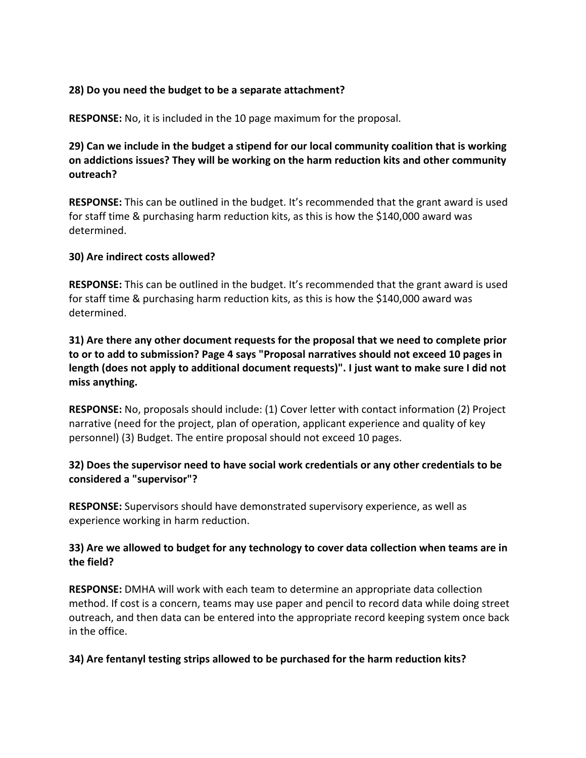#### **28) Do you need the budget to be a separate attachment?**

**RESPONSE:** No, it is included in the 10 page maximum for the proposal.

**29) Can we include in the budget a stipend for our local community coalition that is working on addictions issues? They will be working on the harm reduction kits and other community outreach?**

**RESPONSE:** This can be outlined in the budget. It's recommended that the grant award is used for staff time & purchasing harm reduction kits, as this is how the \$140,000 award was determined.

#### **30) Are indirect costs allowed?**

**RESPONSE:** This can be outlined in the budget. It's recommended that the grant award is used for staff time & purchasing harm reduction kits, as this is how the \$140,000 award was determined.

**31) Are there any other document requests for the proposal that we need to complete prior to or to add to submission? Page 4 says "Proposal narratives should not exceed 10 pages in length (does not apply to additional document requests)". I just want to make sure I did not miss anything.** 

**RESPONSE:** No, proposals should include: (1) Cover letter with contact information (2) Project narrative (need for the project, plan of operation, applicant experience and quality of key personnel) (3) Budget. The entire proposal should not exceed 10 pages.

## **32) Does the supervisor need to have social work credentials or any other credentials to be considered a "supervisor"?**

**RESPONSE:** Supervisors should have demonstrated supervisory experience, as well as experience working in harm reduction.

## **33) Are we allowed to budget for any technology to cover data collection when teams are in the field?**

**RESPONSE:** DMHA will work with each team to determine an appropriate data collection method. If cost is a concern, teams may use paper and pencil to record data while doing street outreach, and then data can be entered into the appropriate record keeping system once back in the office.

## **34) Are fentanyl testing strips allowed to be purchased for the harm reduction kits?**